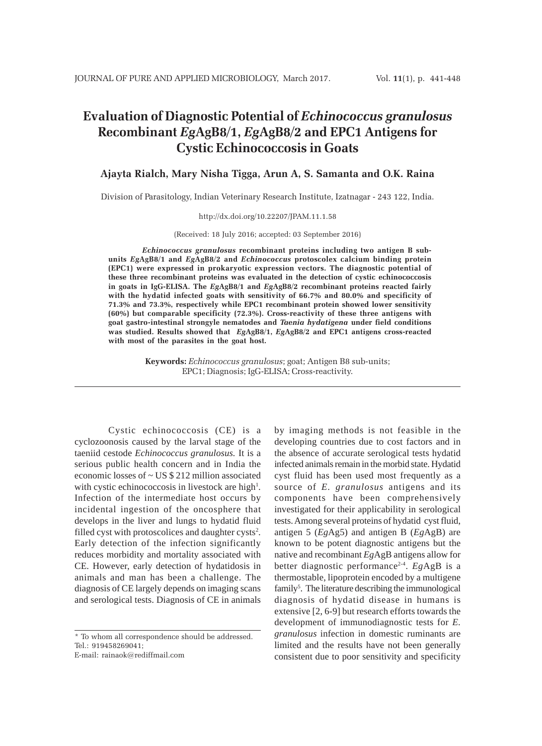# **Evaluation of Diagnostic Potential of** *Echinococcus granulosus* **Recombinant** *Eg***AgB8/1,** *Eg***AgB8/2 and EPC1 Antigens for Cystic Echinococcosis in Goats**

# **Ajayta Rialch, Mary Nisha Tigga, Arun A, S. Samanta and O.K. Raina**

Division of Parasitology, Indian Veterinary Research Institute, Izatnagar - 243 122, India.

#### http://dx.doi.org/10.22207/JPAM.11.1.58

(Received: 18 July 2016; accepted: 03 September 2016)

*Echinococcus granulosus* **recombinant proteins including two antigen B subunits** *Eg***AgB8/1 and** *Eg***AgB8/2 and** *Echinococcus* **protoscolex calcium binding protein (EPC1) were expressed in prokaryotic expression vectors. The diagnostic potential of these three recombinant proteins was evaluated in the detection of cystic echinococcosis in goats in IgG-ELISA. The** *Eg***AgB8/1 and** *Eg***AgB8/2 recombinant proteins reacted fairly with the hydatid infected goats with sensitivity of 66.7% and 80.0% and specificity of 71.3% and 73.3%, respectively while EPC1 recombinant protein showed lower sensitivity (60%) but comparable specificity (72.3%). Cross-reactivity of these three antigens with goat gastro-intestinal strongyle nematodes and** *Taenia hydatigena* **under field conditions was studied. Results showed that** *Eg***AgB8/1,** *Eg***AgB8/2 and EPC1 antigens cross-reacted with most of the parasites in the goat host.**

> **Keywords:** *Echinococcus granulosus*; goat; Antigen B8 sub-units; EPC1; Diagnosis; IgG-ELISA; Cross-reactivity.

Cystic echinococcosis (CE) is a cyclozoonosis caused by the larval stage of the taeniid cestode *Echinococcus granulosus.* It is a serious public health concern and in India the economic losses of ~ US \$ 212 million associated with cystic echinococcosis in livestock are high<sup>1</sup>. Infection of the intermediate host occurs by incidental ingestion of the oncosphere that develops in the liver and lungs to hydatid fluid filled cyst with protoscolices and daughter cysts<sup>2</sup>. Early detection of the infection significantly reduces morbidity and mortality associated with CE. However, early detection of hydatidosis in animals and man has been a challenge. The diagnosis of CE largely depends on imaging scans and serological tests. Diagnosis of CE in animals

\* To whom all correspondence should be addressed. Tel.: 919458269041;

E-mail: rainaok@rediffmail.com

by imaging methods is not feasible in the developing countries due to cost factors and in the absence of accurate serological tests hydatid infected animals remain in the morbid state. Hydatid cyst fluid has been used most frequently as a source of *E. granulosus* antigens and its components have been comprehensively investigated for their applicability in serological tests. Among several proteins of hydatid cyst fluid, antigen 5 (*Eg*Ag5) and antigen B (*Eg*AgB) are known to be potent diagnostic antigens but the native and recombinant *Eg*AgB antigens allow for better diagnostic performance2-4. *Eg*AgB is a thermostable, lipoprotein encoded by a multigene family<sup>5</sup>. The literature describing the immunological diagnosis of hydatid disease in humans is extensive [2, 6-9] but research efforts towards the development of immunodiagnostic tests for *E. granulosus* infection in domestic ruminants are limited and the results have not been generally consistent due to poor sensitivity and specificity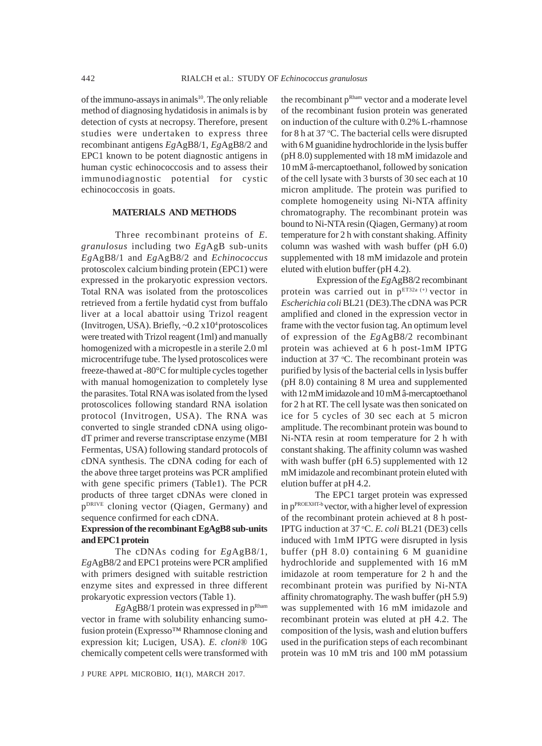of the immuno-assays in animals $10$ . The only reliable method of diagnosing hydatidosis in animals is by detection of cysts at necropsy. Therefore, present studies were undertaken to express three recombinant antigens *Eg*AgB8/1, *Eg*AgB8/2 and EPC1 known to be potent diagnostic antigens in human cystic echinococcosis and to assess their immunodiagnostic potential for cystic echinococcosis in goats.

## **MATERIALS AND METHODS**

Three recombinant proteins of *E. granulosus* including two *Eg*AgB sub-units *Eg*AgB8/1 and *Eg*AgB8/2 and *Echinococcus* protoscolex calcium binding protein (EPC1) were expressed in the prokaryotic expression vectors. Total RNA was isolated from the protoscolices retrieved from a fertile hydatid cyst from buffalo liver at a local abattoir using Trizol reagent (Invitrogen, USA). Briefly, ~0.2 x104 protoscolices were treated with Trizol reagent (1ml) and manually homogenized with a micropestle in a sterile 2.0 ml microcentrifuge tube. The lysed protoscolices were freeze-thawed at -80°C for multiple cycles together with manual homogenization to completely lyse the parasites. Total RNA was isolated from the lysed protoscolices following standard RNA isolation protocol (Invitrogen, USA). The RNA was converted to single stranded cDNA using oligodT primer and reverse transcriptase enzyme (MBI Fermentas, USA) following standard protocols of cDNA synthesis. The cDNA coding for each of the above three target proteins was PCR amplified with gene specific primers (Table1). The PCR products of three target cDNAs were cloned in pDRIVE cloning vector (Qiagen, Germany) and sequence confirmed for each cDNA.

# **Expression of the recombinant EgAgB8 sub-units and EPC1 protein**

The cDNAs coding for *Eg*AgB8/1, *Eg*AgB8/2 and EPC1 proteins were PCR amplified with primers designed with suitable restriction enzyme sites and expressed in three different prokaryotic expression vectors (Table 1).

*Eg*AgB8/1 protein was expressed in pRham vector in frame with solubility enhancing sumofusion protein (Expresso™ Rhamnose cloning and expression kit; Lucigen, USA). *E. cloni*® 10G chemically competent cells were transformed with

J PURE APPL MICROBIO*,* **11**(1), MARCH 2017.

the recombinant p<sup>Rham</sup> vector and a moderate level of the recombinant fusion protein was generated on induction of the culture with 0.2% L-rhamnose for 8 h at 37 °C. The bacterial cells were disrupted with 6 M guanidine hydrochloride in the lysis buffer (pH 8.0) supplemented with 18 mM imidazole and 10 mM â-mercaptoethanol, followed by sonication of the cell lysate with 3 bursts of 30 sec each at 10 micron amplitude. The protein was purified to complete homogeneity using Ni-NTA affinity chromatography. The recombinant protein was bound to Ni-NTA resin (Qiagen, Germany) at room temperature for 2 h with constant shaking. Affinity column was washed with wash buffer (pH 6.0) supplemented with 18 mM imidazole and protein eluted with elution buffer (pH 4.2).

 Expression of the *Eg*AgB8/2 recombinant protein was carried out in  $p^{ET32a (+)}$  vector in *Escherichia coli* BL21 (DE3).The cDNA was PCR amplified and cloned in the expression vector in frame with the vector fusion tag. An optimum level of expression of the *Eg*AgB8/2 recombinant protein was achieved at 6 h post-1mM IPTG induction at  $37$  °C. The recombinant protein was purified by lysis of the bacterial cells in lysis buffer (pH 8.0) containing 8 M urea and supplemented with 12 mM imidazole and 10 mM â-mercaptoethanol for 2 h at RT. The cell lysate was then sonicated on ice for 5 cycles of 30 sec each at 5 micron amplitude. The recombinant protein was bound to Ni-NTA resin at room temperature for 2 h with constant shaking. The affinity column was washed with wash buffer (pH 6.5) supplemented with 12 mM imidazole and recombinant protein eluted with elution buffer at pH 4.2.

The EPC1 target protein was expressed in pPROEXHT-b vector, with a higher level of expression of the recombinant protein achieved at 8 h post-IPTG induction at 37 °C. E. coli BL21 (DE3) cells induced with 1mM IPTG were disrupted in lysis buffer (pH 8.0) containing 6 M guanidine hydrochloride and supplemented with 16 mM imidazole at room temperature for 2 h and the recombinant protein was purified by Ni-NTA affinity chromatography. The wash buffer (pH 5.9) was supplemented with 16 mM imidazole and recombinant protein was eluted at pH 4.2. The composition of the lysis, wash and elution buffers used in the purification steps of each recombinant protein was 10 mM tris and 100 mM potassium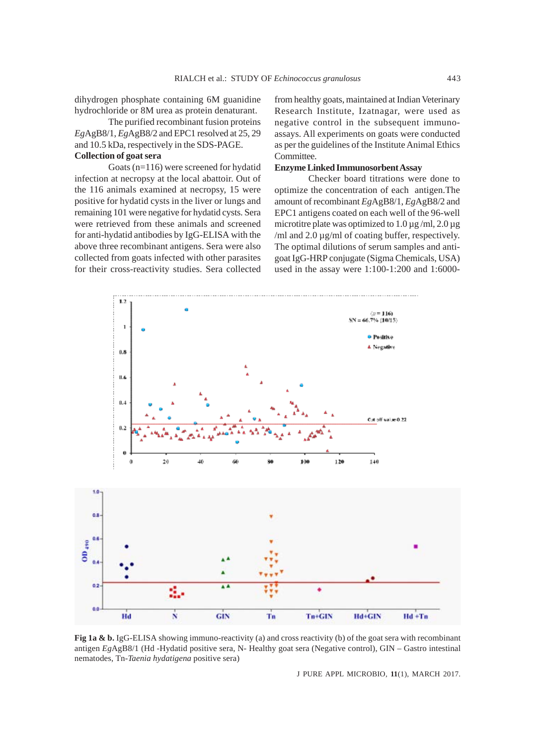dihydrogen phosphate containing 6M guanidine hydrochloride or 8M urea as protein denaturant.

The purified recombinant fusion proteins *Eg*AgB8/1, *Eg*AgB8/2 and EPC1 resolved at 25, 29 and 10.5 kDa, respectively in the SDS-PAGE.

# **Collection of goat sera**

Goats (n=116) were screened for hydatid infection at necropsy at the local abattoir. Out of the 116 animals examined at necropsy, 15 were positive for hydatid cysts in the liver or lungs and remaining 101 were negative for hydatid cysts. Sera were retrieved from these animals and screened for anti-hydatid antibodies by IgG-ELISA with the above three recombinant antigens. Sera were also collected from goats infected with other parasites for their cross-reactivity studies. Sera collected from healthy goats, maintained at Indian Veterinary Research Institute, Izatnagar, were used as negative control in the subsequent immunoassays. All experiments on goats were conducted as per the guidelines of the Institute Animal Ethics Committee.

### **Enzyme Linked Immunosorbent Assay**

Checker board titrations were done to optimize the concentration of each antigen.The amount of recombinant *Eg*AgB8/1, *Eg*AgB8/2 and EPC1 antigens coated on each well of the 96-well microtitre plate was optimized to  $1.0 \,\mu$ g /ml,  $2.0 \,\mu$ g /ml and 2.0 µg/ml of coating buffer, respectively. The optimal dilutions of serum samples and antigoat IgG-HRP conjugate (Sigma Chemicals, USA) used in the assay were 1:100-1:200 and 1:6000-



**Fig 1a & b.** IgG-ELISA showing immuno-reactivity (a) and cross reactivity (b) of the goat sera with recombinant antigen *Eg*AgB8/1 (Hd -Hydatid positive sera, N- Healthy goat sera (Negative control), GIN – Gastro intestinal nematodes, Tn-*Taenia hydatigena* positive sera)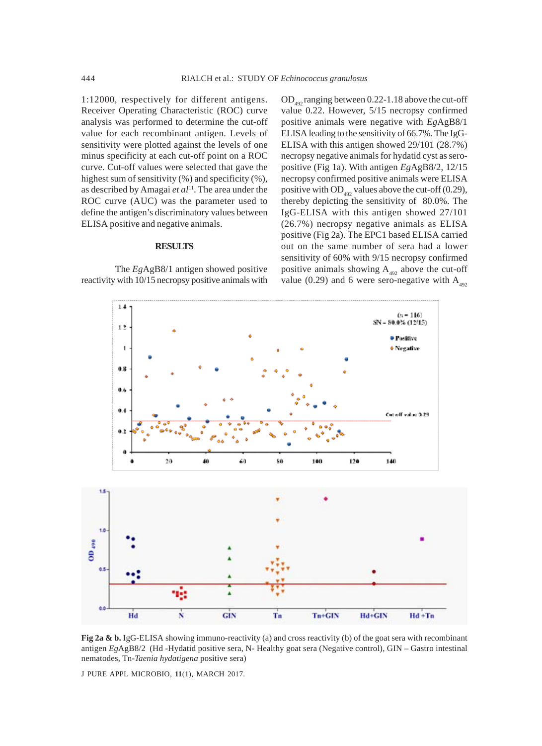1:12000, respectively for different antigens. Receiver Operating Characteristic (ROC) curve analysis was performed to determine the cut-off value for each recombinant antigen. Levels of sensitivity were plotted against the levels of one minus specificity at each cut-off point on a ROC curve. Cut-off values were selected that gave the highest sum of sensitivity  $(\%)$  and specificity  $(\%)$ , as described by Amagai *et al*<sup>11</sup>. The area under the ROC curve (AUC) was the parameter used to define the antigen's discriminatory values between ELISA positive and negative animals.

#### **RESULTS**

The *Eg*AgB8/1 antigen showed positive reactivity with 10/15 necropsy positive animals with

 $OD_{492}$  ranging between 0.22-1.18 above the cut-off value 0.22. However, 5/15 necropsy confirmed positive animals were negative with *Eg*AgB8/1 ELISA leading to the sensitivity of 66.7%. The IgG-ELISA with this antigen showed 29/101 (28.7%) necropsy negative animals for hydatid cyst as seropositive (Fig 1a). With antigen *Eg*AgB8/2, 12/15 necropsy confirmed positive animals were ELISA positive with  $OD_{492}$  values above the cut-off (0.29), thereby depicting the sensitivity of 80.0%. The IgG-ELISA with this antigen showed 27/101 (26.7%) necropsy negative animals as ELISA positive (Fig 2a). The EPC1 based ELISA carried out on the same number of sera had a lower sensitivity of 60% with 9/15 necropsy confirmed positive animals showing  $A_{492}$  above the cut-off value (0.29) and 6 were sero-negative with  $A_{492}$ 





**Fig 2a & b.** IgG-ELISA showing immuno-reactivity (a) and cross reactivity (b) of the goat sera with recombinant antigen *Eg*AgB8/2 (Hd -Hydatid positive sera, N- Healthy goat sera (Negative control), GIN – Gastro intestinal nematodes, Tn-*Taenia hydatigena* positive sera)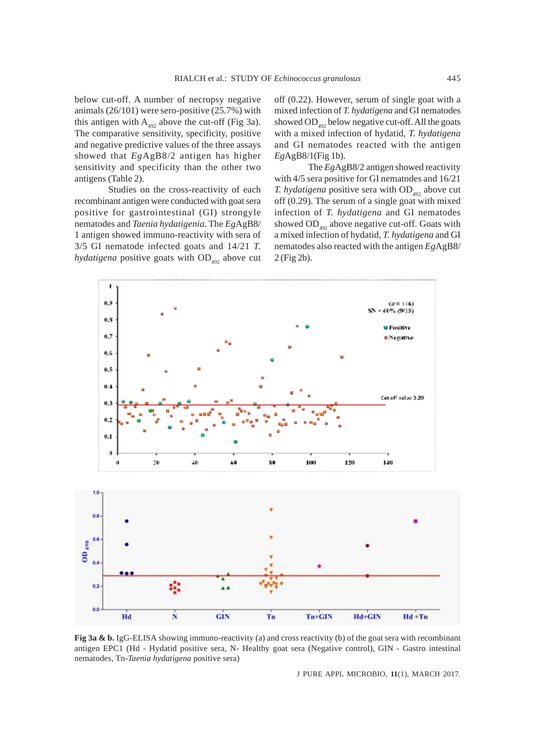below cut-off. A number of necropsy negative animals (26/101) were sero-positive (25.7%) with this antigen with  $A_{492}$  above the cut-off (Fig 3a). The comparative sensitivity, specificity, positive and negative predictive values of the three assays showed that *Eg*AgB8/2 antigen has higher sensitivity and specificity than the other two antigens (Table 2).

Studies on the cross-reactivity of each recombinant antigen were conducted with goat sera positive for gastrointestinal (GI) strongyle nematodes and *Taenia hydatigenia*. The *Eg*AgB8/ 1 antigen showed immuno-reactivity with sera of 3/5 GI nematode infected goats and 14/21 *T. hydatigena* positive goats with  $OD_{492}$  above cut off (0.22). However, serum of single goat with a mixed infection of *T. hydatigena* and GI nematodes showed  $OD$ <sub>492</sub> below negative cut-off. All the goats with a mixed infection of hydatid, *T. hydatigena* and GI nematodes reacted with the antigen *Eg*AgB8/1(Fig 1b).

The *Eg*AgB8/2 antigen showed reactivity with 4/5 sera positive for GI nematodes and 16/21 *T. hydatigena* positive sera with  $OD_{492}$  above cut off (0.29). The serum of a single goat with mixed infection of *T. hydatigena* and GI nematodes showed  $OD_{492}$  above negative cut-off. Goats with a mixed infection of hydatid, *T. hydatigena* and GI nematodes also reacted with the antigen *Eg*AgB8/ 2 (Fig 2b).



**Fig 3a & b.** IgG-ELISA showing immuno-reactivity (a) and cross reactivity (b) of the goat sera with recombinant antigen EPC1 (Hd - Hydatid positive sera, N- Healthy goat sera (Negative control), GIN - Gastro intestinal nematodes, Tn-*Taenia hydatigena* positive sera)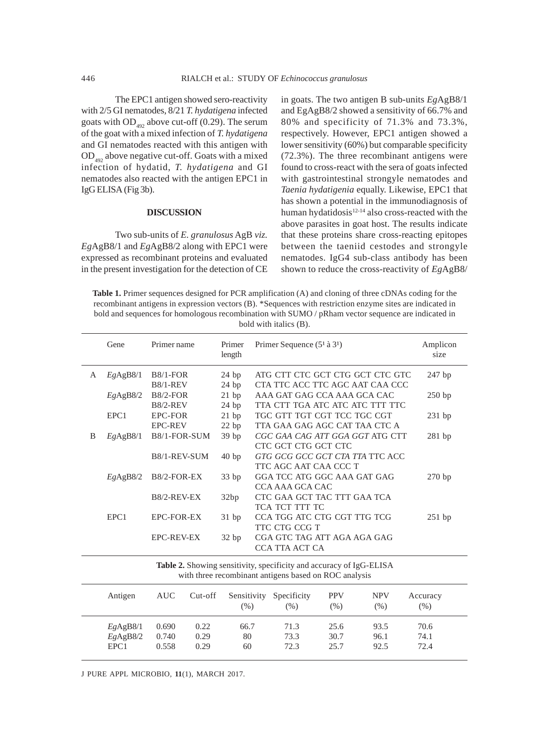The EPC1 antigen showed sero-reactivity with 2/5 GI nematodes, 8/21 *T. hydatigena* infected goats with  $OD_{492}$  above cut-off (0.29). The serum of the goat with a mixed infection of *T. hydatigena* and GI nematodes reacted with this antigen with  $OD_{492}$  above negative cut-off. Goats with a mixed infection of hydatid, *T. hydatigena* and GI nematodes also reacted with the antigen EPC1 in IgG ELISA (Fig 3b).

#### **DISCUSSION**

Two sub-units of *E. granulosus* AgB *viz. Eg*AgB8/1 and *Eg*AgB8/2 along with EPC1 were expressed as recombinant proteins and evaluated in the present investigation for the detection of CE in goats. The two antigen B sub-units *Eg*AgB8/1 and EgAgB8/2 showed a sensitivity of 66.7% and 80% and specificity of 71.3% and 73.3%, respectively. However, EPC1 antigen showed a lower sensitivity (60%) but comparable specificity (72.3%). The three recombinant antigens were found to cross-react with the sera of goats infected with gastrointestinal strongyle nematodes and *Taenia hydatigenia* equally. Likewise, EPC1 that has shown a potential in the immunodiagnosis of human hydatidosis<sup>12-14</sup> also cross-reacted with the above parasites in goat host. The results indicate that these proteins share cross-reacting epitopes between the taeniid cestodes and strongyle nematodes. IgG4 sub-class antibody has been shown to reduce the cross-reactivity of *Eg*AgB8/

**Table 1.** Primer sequences designed for PCR amplification (A) and cloning of three cDNAs coding for the recombinant antigens in expression vectors (B). \*Sequences with restriction enzyme sites are indicated in bold and sequences for homologous recombination with SUMO / pRham vector sequence are indicated in bold with italics (B).

|                                                                                                                              | Gene     | Primer name       |         | Primer<br>length      | Primer Sequence $(5^1 \land 3^1)$ |             |            | Amplicon<br>size |          |
|------------------------------------------------------------------------------------------------------------------------------|----------|-------------------|---------|-----------------------|-----------------------------------|-------------|------------|------------------|----------|
| A                                                                                                                            | EgAgB8/1 | $B8/1-FOR$        |         | 24bp                  | ATG CTT CTC GCT CTG GCT CTC GTC   |             |            |                  | $247$ bp |
|                                                                                                                              |          | $B8/1-REV$        |         | 24bp                  | CTA TTC ACC TTC AGC AAT CAA CCC   |             |            |                  |          |
|                                                                                                                              | EgAgB8/2 | <b>B8/2-FOR</b>   |         | 21bp                  | AAA GAT GAG CCA AAA GCA CAC       |             |            | 250bp            |          |
|                                                                                                                              |          | <b>B8/2-REV</b>   |         | 24bp                  | TTA CTT TGA ATC ATC ATC TTT TTC   |             |            |                  |          |
|                                                                                                                              | EPC1     | <b>EPC-FOR</b>    |         | 21bp                  | TGC GTT TGT CGT TCC TGC CGT       |             |            | $231$ bp         |          |
|                                                                                                                              |          | <b>EPC-REV</b>    |         | 22bp                  | TTA GAA GAG AGC CAT TAA CTC A     |             |            |                  |          |
| B                                                                                                                            | EgAgB8/1 | B8/1-FOR-SUM      |         | 39 bp                 | CGC GAA CAG ATT GGA GGT ATG CTT   |             |            | $281$ bp         |          |
|                                                                                                                              |          |                   |         | CTC GCT CTG GCT CTC   |                                   |             |            |                  |          |
|                                                                                                                              |          | B8/1-REV-SUM      |         | 40 bp                 | GTG GCG GCC GCT CTA TTA TTC ACC   |             |            |                  |          |
|                                                                                                                              |          |                   |         | TTC AGC AAT CAA CCC T |                                   |             |            |                  |          |
|                                                                                                                              | EgAgB8/2 | B8/2-FOR-EX       |         | 33bp                  | GGA TCC ATG GGC AAA GAT GAG       |             |            |                  | 270bp    |
|                                                                                                                              |          | CCA AAA GCA CAC   |         |                       |                                   |             |            |                  |          |
|                                                                                                                              |          | B8/2-REV-EX       |         | 32bp                  | CTC GAA GCT TAC TTT GAA TCA       |             |            |                  |          |
|                                                                                                                              |          |                   |         |                       | TCA TCT TTT TC                    |             |            |                  |          |
|                                                                                                                              | EPC1     | <b>EPC-FOR-EX</b> |         | 31bp                  | CCA TGG ATC CTG CGT TTG TCG       |             |            | $251$ bp         |          |
|                                                                                                                              |          |                   |         |                       | TTC CTG CCG T                     |             |            |                  |          |
|                                                                                                                              |          | <b>EPC-REV-EX</b> |         | 32 bp                 | CGA GTC TAG ATT AGA AGA GAG       |             |            |                  |          |
|                                                                                                                              |          |                   |         | CCA TTA ACT CA        |                                   |             |            |                  |          |
| Table 2. Showing sensitivity, specificity and accuracy of IgG-ELISA<br>with three recombinant antigens based on ROC analysis |          |                   |         |                       |                                   |             |            |                  |          |
|                                                                                                                              | Antigen  | <b>AUC</b>        | Cut-off | Sensitivity           |                                   | Specificity | <b>PPV</b> | <b>NPV</b>       | Accuracy |
|                                                                                                                              |          |                   |         | $(\% )$               |                                   | (% )        | (% )       | (% )             | (% )     |
|                                                                                                                              | EgAgB8/1 | 0.690             | 0.22    | 66.7                  |                                   | 71.3        | 25.6       | 93.5             | 70.6     |
|                                                                                                                              | EgAgB8/2 | 0.740             | 0.29    | 80                    |                                   | 73.3        | 30.7       | 96.1             | 74.1     |
|                                                                                                                              | EPC1     | 0.558             | 0.29    | 60                    |                                   | 72.3        | 25.7       | 92.5             | 72.4     |
|                                                                                                                              |          |                   |         |                       |                                   |             |            |                  |          |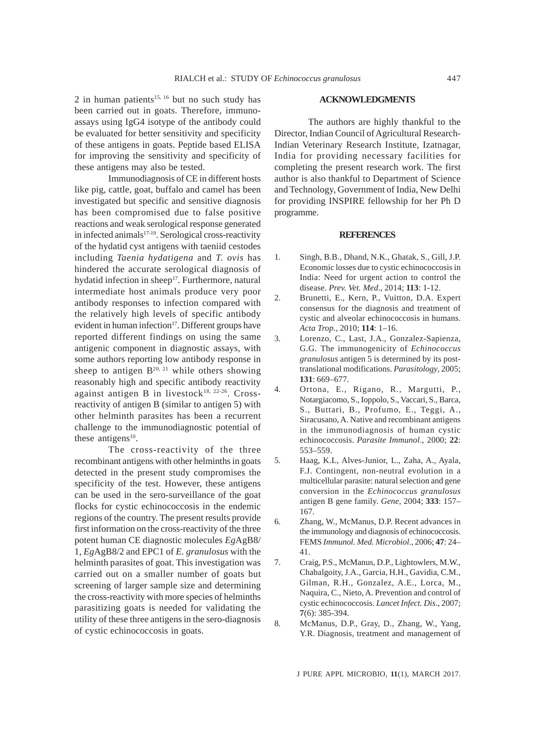2 in human patients<sup>15, 16</sup> but no such study has been carried out in goats. Therefore, immunoassays using IgG4 isotype of the antibody could be evaluated for better sensitivity and specificity of these antigens in goats. Peptide based ELISA for improving the sensitivity and specificity of these antigens may also be tested.

Immunodiagnosis of CE in different hosts like pig, cattle, goat, buffalo and camel has been investigated but specific and sensitive diagnosis has been compromised due to false positive reactions and weak serological response generated in infected animals<sup>17-19</sup>. Serological cross-reactivity of the hydatid cyst antigens with taeniid cestodes including *Taenia hydatigena* and *T. ovis* has hindered the accurate serological diagnosis of hydatid infection in sheep<sup>17</sup>. Furthermore, natural intermediate host animals produce very poor antibody responses to infection compared with the relatively high levels of specific antibody evident in human infection<sup>17</sup>. Different groups have reported different findings on using the same antigenic component in diagnostic assays, with some authors reporting low antibody response in sheep to antigen  $B^{20, 21}$  while others showing reasonably high and specific antibody reactivity against antigen B in livestock<sup>18, 22-26</sup>. Crossreactivity of antigen B (similar to antigen 5) with other helminth parasites has been a recurrent challenge to the immunodiagnostic potential of these antigens $10$ .

The cross-reactivity of the three recombinant antigens with other helminths in goats detected in the present study compromises the specificity of the test. However, these antigens can be used in the sero-surveillance of the goat flocks for cystic echinococcosis in the endemic regions of the country. The present results provide first information on the cross-reactivity of the three potent human CE diagnostic molecules *Eg*AgB8/ 1, *Eg*AgB8/2 and EPC1 of *E. granulosus* with the helminth parasites of goat. This investigation was carried out on a smaller number of goats but screening of larger sample size and determining the cross-reactivity with more species of helminths parasitizing goats is needed for validating the utility of these three antigens in the sero-diagnosis of cystic echinococcosis in goats.

#### **ACKNOWLEDGMENTS**

The authors are highly thankful to the Director, Indian Council of Agricultural Research-Indian Veterinary Research Institute, Izatnagar, India for providing necessary facilities for completing the present research work. The first author is also thankful to Department of Science and Technology, Government of India, New Delhi for providing INSPIRE fellowship for her Ph D programme.

#### **REFERENCES**

- 1. Singh, B.B., Dhand, N.K., Ghatak, S., Gill, J.P. Economic losses due to cystic echinococcosis in India: Need for urgent action to control the disease. *Prev. Vet. Med*., 2014; **113**: 1-12.
- 2. Brunetti, E., Kern, P., Vuitton, D.A. Expert consensus for the diagnosis and treatment of cystic and alveolar echinococcosis in humans. *Acta Trop*., 2010; **114**: 1–16.
- 3. Lorenzo, C., Last, J.A., Gonzalez-Sapienza, G.G. The immunogenicity of *Echinococcus granulosus* antigen 5 is determined by its posttranslational modifications. *Parasitology*, 2005; **131**: 669–677.
- 4. Ortona, E., Rigano, R., Margutti, P., Notargiacomo, S., Ioppolo, S., Vaccari, S., Barca, S., Buttari, B., Profumo, E., Teggi, A., Siracusano, A. Native and recombinant antigens in the immunodiagnosis of human cystic echinococcosis. *Parasite Immunol*., 2000; **22**: 553–559.
- 5. Haag, K.L, Alves-Junior, L., Zaha, A., Ayala, F.J. Contingent, non-neutral evolution in a multicellular parasite: natural selection and gene conversion in the *Echinococcus granulosus* antigen B gene family. *Gene*, 2004; **333**: 157– 167.
- 6. Zhang, W., McManus, D.P. Recent advances in the immunology and diagnosis of echinococcosis. FEMS *Immunol. Med. Microbiol*., 2006; **47**: 24– 41.
- 7. Craig, P.S., McManus, D.P., Lightowlers, M.W., Chabalgoity, J.A., Garcia, H.H., Gavidia, C.M., Gilman, R.H., Gonzalez, A.E., Lorca, M., Naquira, C., Nieto, A. Prevention and control of cystic echinococcosis. *Lancet Infect. Dis*., 2007; **7**(6): 385-394.
- 8. McManus, D.P., Gray, D., Zhang, W., Yang, Y.R. Diagnosis, treatment and management of